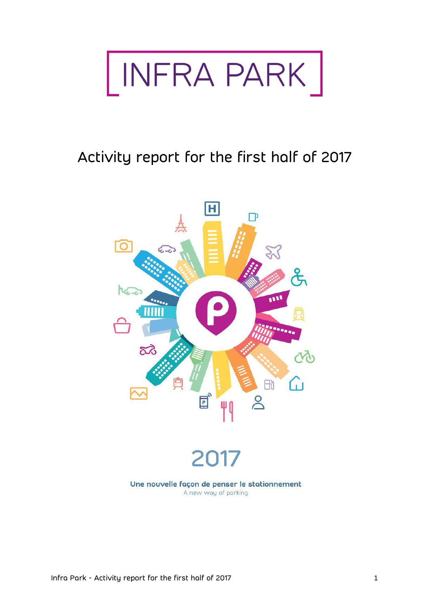

# Activity report for the first half of 2017

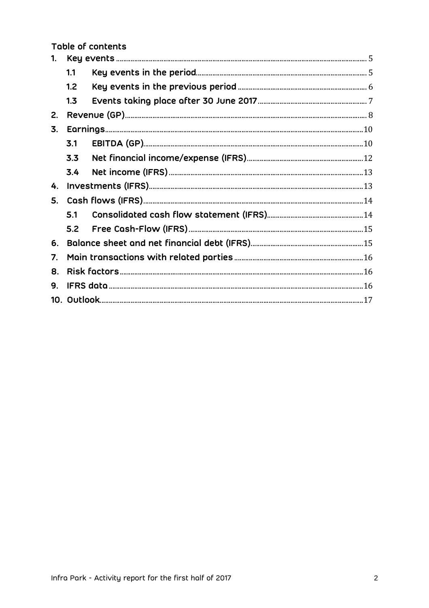Table of contents

| 1. |     |  |  |  |  |  |
|----|-----|--|--|--|--|--|
|    | 1.1 |  |  |  |  |  |
|    | 1.2 |  |  |  |  |  |
|    | 1.3 |  |  |  |  |  |
| 2. |     |  |  |  |  |  |
| 3. |     |  |  |  |  |  |
|    | 3.1 |  |  |  |  |  |
|    | 3.3 |  |  |  |  |  |
|    | 3.4 |  |  |  |  |  |
| 4. |     |  |  |  |  |  |
| 5. |     |  |  |  |  |  |
|    | 5.1 |  |  |  |  |  |
|    | 5.2 |  |  |  |  |  |
| 6. |     |  |  |  |  |  |
| 7. |     |  |  |  |  |  |
| 8. |     |  |  |  |  |  |
| 9. |     |  |  |  |  |  |
|    |     |  |  |  |  |  |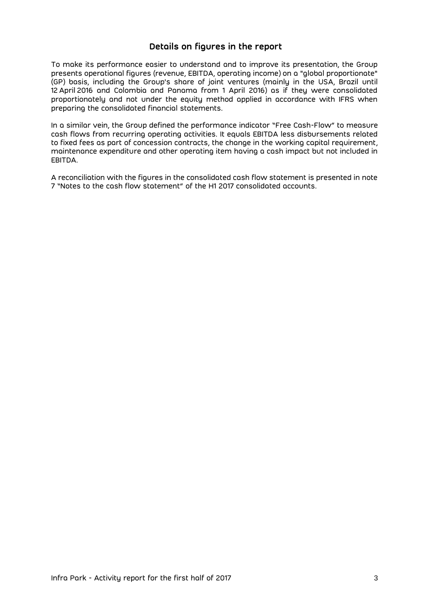### **Details on figures in the report**

To make its performance easier to understand and to improve its presentation, the Group presents operational figures (revenue, EBITDA, operating income) on a "global proportionate" (GP) basis, including the Group's share of joint ventures (mainly in the USA, Brazil until 12 April 2016 and Colombia and Panama from 1 April 2016) as if they were consolidated proportionately and not under the equity method applied in accordance with IFRS when preparing the consolidated financial statements.

In a similar vein, the Group defined the performance indicator "Free Cash-Flow" to measure cash flows from recurring operating activities. It equals EBITDA less disbursements related to fixed fees as part of concession contracts, the change in the working capital requirement, maintenance expenditure and other operating item having a cash impact but not included in EBITDA.

A reconciliation with the figures in the consolidated cash flow statement is presented in note 7 "Notes to the cash flow statement" of the H1 2017 consolidated accounts.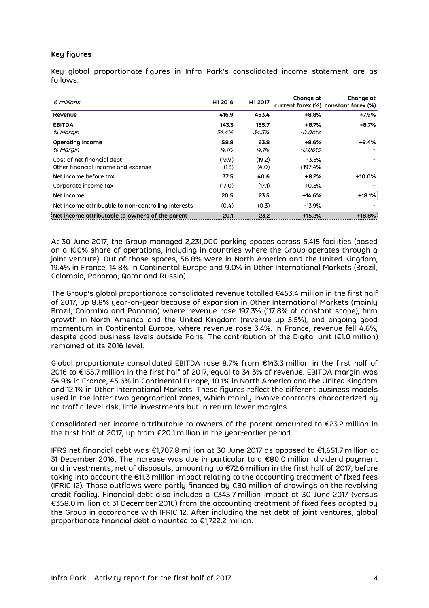#### **Key figures**

Key global proportionate figures in Infra Park's consolidated income statement are as follows:

| $\epsilon$ millions                                              | H1 2016         | H1 2017         | Change at                 | Change at<br>current forex (%) constant forex (%) |
|------------------------------------------------------------------|-----------------|-----------------|---------------------------|---------------------------------------------------|
| Revenue                                                          | 416.9           | 453.4           | $+8.8%$                   | $+7.9%$                                           |
| <b>EBITDA</b><br>% Margin                                        | 143.3<br>34.4%  | 155.7<br>34.3%  | $+8.7%$<br><i>-0.0pts</i> | $+8.7%$                                           |
| Operating income<br>% Margin                                     | 58.8<br>14.1%   | 63.8<br>14.1%   | $+8.6%$<br>-0.0pts        | $+9.4%$                                           |
| Cost of net financial debt<br>Other financial income and expense | (19.9)<br>(1.3) | (19.2)<br>(4.0) | $-3.5%$<br>$+197.4%$      |                                                   |
| Net income before tax                                            | 37.5            | 40.6            | $+8.2%$                   | $+10.0%$                                          |
| Corporate income tax                                             | (17.0)          | (17.1)          | $+0.5%$                   |                                                   |
| Net income                                                       | 20.5            | 23.5            | $+14.6%$                  | $+18.1%$                                          |
| Net income attribuable to non-controlling interests              | (0.4)           | (0.3)           | $-13.9%$                  |                                                   |
| Net income attributable to owners of the parent                  | 20.1            | 23.2            | $+15.2%$                  | $+18.8%$                                          |

At 30 June 2017, the Group managed 2,231,000 parking spaces across 5,415 facilities (based on a 100% share of operations, including in countries where the Group operates through a joint venture). Out of those spaces, 56.8% were in North America and the United Kingdom, 19.4% in France, 14.8% in Continental Europe and 9.0% in Other International Markets (Brazil, Colombia, Panama, Qatar and Russia).

The Group's global proportionate consolidated revenue totalled €453.4 million in the first half of 2017, up 8.8% year-on-year because of expansion in Other International Markets (mainly Brazil, Colombia and Panama) where revenue rose 197.3% (117.8% at constant scope), firm growth in North America and the United Kingdom (revenue up 5.5%), and ongoing good momentum in Continental Europe, where revenue rose 3.4%. In France, revenue fell 4.6%, despite good business levels outside Paris. The contribution of the Digital unit (€1.0 million) remained at its 2016 level.

Global proportionate consolidated EBITDA rose 8.7% from €143.3 million in the first half of 2016 to €155.7 million in the first half of 2017, equal to 34.3% of revenue. EBITDA margin was 54.9% in France, 45.6% in Continental Europe, 10.1% in North America and the United Kingdom and 12.1% in Other International Markets. These figures reflect the different business models used in the latter two geographical zones, which mainly involve contracts characterized by no traffic-level risk, little investments but in return lower margins.

Consolidated net income attributable to owners of the parent amounted to €23.2 million in the first half of 2017, up from €20.1 million in the year-earlier period.

IFRS net financial debt was €1,707.8 million at 30 June 2017 as opposed to €1,651.7 million at 31 December 2016. The increase was due in particular to a  $\epsilon$ 80.0 million dividend payment and investments, net of disposals, amounting to €72.6 million in the first half of 2017, before taking into account the €11.3 million impact relating to the accounting treatment of fixed fees (IFRIC 12). Those outflows were partly financed by €80 million of drawings on the revolving credit facility. Financial debt also includes a €345.7 million impact at 30 June 2017 (versus €358.0 million at 31 December 2016) from the accounting treatment of fixed fees adopted by the Group in accordance with IFRIC 12. After including the net debt of joint ventures, global proportionate financial debt amounted to €1,722.2 million.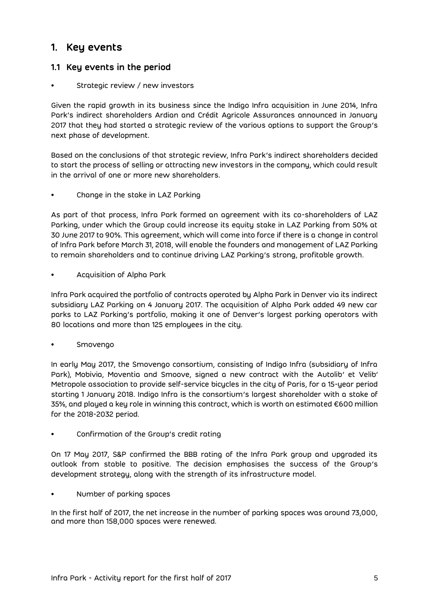# <span id="page-4-0"></span>**1. Key events**

### <span id="page-4-1"></span>**1.1 Key events in the period**

### Strategic review / new investors

Given the rapid growth in its business since the Indigo Infra acquisition in June 2014, Infra Park's indirect shareholders Ardian and Crédit Agricole Assurances announced in January 2017 that they had started a strategic review of the various options to support the Group's next phase of development.

Based on the conclusions of that strategic review, Infra Park's indirect shareholders decided to start the process of selling or attracting new investors in the company, which could result in the arrival of one or more new shareholders.

• Change in the stake in LAZ Parking

As part of that process, Infra Park formed an agreement with its co-shareholders of LAZ Parking, under which the Group could increase its equity stake in LAZ Parking from 50% at 30 June 2017 to 90%. This agreement, which will come into force if there is a change in control of Infra Park before March 31, 2018, will enable the founders and management of LAZ Parking to remain shareholders and to continue driving LAZ Parking's strong, profitable growth.

• Acquisition of Alpha Park

Infra Park acquired the portfolio of contracts operated by Alpha Park in Denver via its indirect subsidiary LAZ Parking on 4 January 2017. The acquisition of Alpha Park added 49 new car parks to LAZ Parking's portfolio, making it one of Denver's largest parking operators with 80 locations and more than 125 employees in the city.

• Smovengo

In early May 2017, the Smovengo consortium, consisting of Indigo Infra (subsidiary of Infra Park), Mobivia, Moventia and Smoove, signed a new contract with the Autolib' et Velib' Metropole association to provide self-service bicycles in the city of Paris, for a 15-year period starting 1 January 2018. Indigo Infra is the consortium's largest shareholder with a stake of 35%, and played a key role in winning this contract, which is worth an estimated €600 million for the 2018-2032 period.

• Confirmation of the Group's credit rating

On 17 May 2017, S&P confirmed the BBB rating of the Infra Park group and upgraded its outlook from stable to positive. The decision emphasises the success of the Group's development strategy, along with the strength of its infrastructure model.

• Number of parking spaces

In the first half of 2017, the net increase in the number of parking spaces was around 73,000, and more than 158,000 spaces were renewed.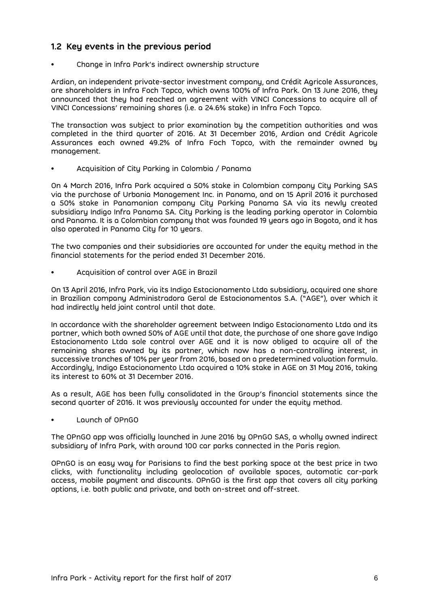### <span id="page-5-0"></span>**1.2 Key events in the previous period**

• Change in Infra Park's indirect ownership structure

Ardian, an independent private-sector investment company, and Crédit Agricole Assurances, are shareholders in Infra Foch Topco, which owns 100% of Infra Park. On 13 June 2016, they announced that they had reached an agreement with VINCI Concessions to acquire all of VINCI Concessions' remaining shares (i.e. a 24.6% stake) in Infra Foch Topco.

The transaction was subject to prior examination by the competition authorities and was completed in the third quarter of 2016. At 31 December 2016, Ardian and Crédit Agricole Assurances each owned 49.2% of Infra Foch Topco, with the remainder owned by management.

• Acquisition of City Parking in Colombia / Panama

On 4 March 2016, Infra Park acquired a 50% stake in Colombian company City Parking SAS via the purchase of Urbania Management Inc. in Panama, and on 15 April 2016 it purchased a 50% stake in Panamanian company City Parking Panama SA via its newly created subsidiary Indigo Infra Panama SA. City Parking is the leading parking operator in Colombia and Panama. It is a Colombian company that was founded 19 years ago in Bogota, and it has also operated in Panama City for 10 years.

The two companies and their subsidiaries are accounted for under the equity method in the financial statements for the period ended 31 December 2016.

• Acquisition of control over AGE in Brazil

On 13 April 2016, Infra Park, via its Indigo Estacionamento Ltda subsidiary, acquired one share in Brazilian company Administradora Geral de Estacionamentos S.A. ("AGE"), over which it had indirectly held joint control until that date.

In accordance with the shareholder agreement between Indigo Estacionamento Ltda and its partner, which both owned 50% of AGE until that date, the purchase of one share gave Indigo Estacionamento Ltda sole control over AGE and it is now obliged to acquire all of the remaining shares owned by its partner, which now has a non-controlling interest, in successive tranches of 10% per year from 2016, based on a predetermined valuation formula. Accordingly, Indigo Estacionamento Ltda acquired a 10% stake in AGE on 31 May 2016, taking its interest to 60% at 31 December 2016.

As a result, AGE has been fully consolidated in the Group's financial statements since the second quarter of 2016. It was previously accounted for under the equity method.

• Launch of OPnGO

The OPnGO app was officially launched in June 2016 by OPnGO SAS, a wholly owned indirect subsidiary of Infra Park, with around 100 car parks connected in the Paris region.

OPnGO is an easy way for Parisians to find the best parking space at the best price in two clicks, with functionality including geolocation of available spaces, automatic car-park access, mobile payment and discounts. OPnGO is the first app that covers all city parking options, i.e. both public and private, and both on-street and off-street.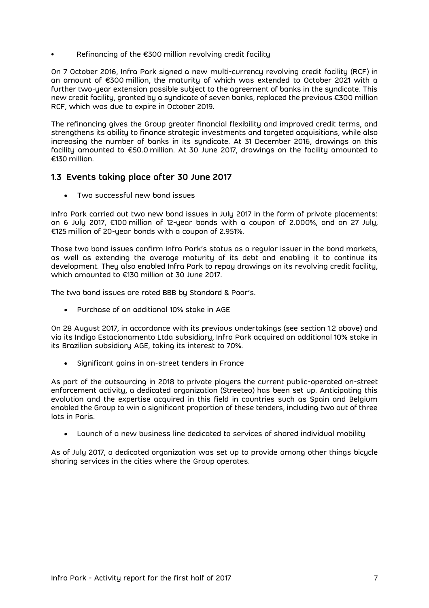Refinancing of the  $\epsilon$ 300 million revolving credit facility

On 7 October 2016, Infra Park signed a new multi-currency revolving credit facility (RCF) in an amount of €300 million, the maturity of which was extended to October 2021 with a further two-year extension possible subject to the agreement of banks in the syndicate. This new credit facility, granted by a syndicate of seven banks, replaced the previous €300 million RCF, which was due to expire in October 2019.

The refinancing gives the Group greater financial flexibility and improved credit terms, and strengthens its ability to finance strategic investments and targeted acquisitions, while also increasing the number of banks in its syndicate. At 31 December 2016, drawings on this facility amounted to €50.0 million. At 30 June 2017, drawings on the facility amounted to €130 million.

### <span id="page-6-0"></span>**1.3 Events taking place after 30 June 2017**

Two successful new bond issues

Infra Park carried out two new bond issues in July 2017 in the form of private placements: on 6 July 2017,  $\epsilon$ 100 million of 12-year bonds with a coupon of 2.000%, and on 27 July, €125 million of 20-year bonds with a coupon of 2.951%.

Those two bond issues confirm Infra Park's status as a regular issuer in the bond markets, as well as extending the average maturity of its debt and enabling it to continue its development. They also enabled Infra Park to repay drawings on its revolving credit facility, which amounted to €130 million at 30 June 2017.

The two bond issues are rated BBB by Standard & Poor's.

Purchase of an additional 10% stake in AGE

On 28 August 2017, in accordance with its previous undertakings (see section 1.2 above) and via its Indigo Estacionamento Ltda subsidiary, Infra Park acquired an additional 10% stake in its Brazilian subsidiary AGE, taking its interest to 70%.

• Significant gains in on-street tenders in France

As part of the outsourcing in 2018 to private players the current public-operated on-street enforcement activity, a dedicated organization (Streeteo) has been set up. Anticipating this evolution and the expertise acquired in this field in countries such as Spain and Belgium enabled the Group to win a significant proportion of these tenders, including two out of three lots in Paris.

Launch of a new business line dedicated to services of shared individual mobility

As of July 2017, a dedicated organization was set up to provide among other things bicycle sharing services in the cities where the Group operates.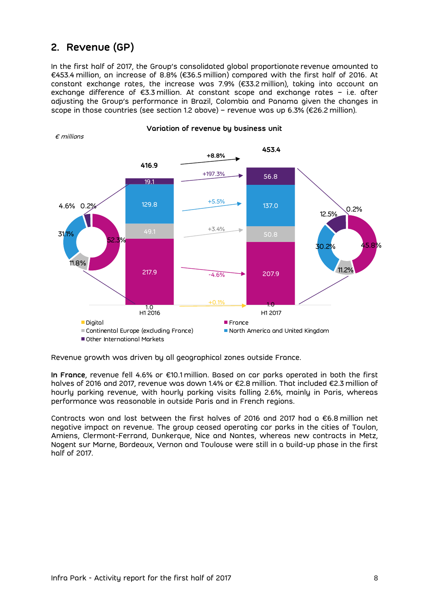# <span id="page-7-0"></span>**2. Revenue (GP)**

In the first half of 2017, the Group's consolidated global proportionate revenue amounted to €453.4 million, an increase of 8.8% (€36.5 million) compared with the first half of 2016. At constant exchange rates, the increase was 7.9% (€33.2 million), taking into account an exchange difference of €3.3 million. At constant scope and exchange rates – i.e. after adjusting the Group's performance in Brazil, Colombia and Panama given the changes in scope in those countries (see section 1.2 above) – revenue was up 6.3% (€26.2 million).



**Variation of revenue by business unit**

Revenue growth was driven by all geographical zones outside France.

**In France**, revenue fell 4.6% or €10.1 million. Based on car parks operated in both the first halves of 2016 and 2017, revenue was down 1.4% or €2.8 million. That included €2.3 million of hourly parking revenue, with hourly parking visits falling 2.6%, mainly in Paris, whereas performance was reasonable in outside Paris and in French regions.

Contracts won and lost between the first halves of 2016 and 2017 had a €6.8 million net negative impact on revenue. The group ceased operating car parks in the cities of Toulon, Amiens, Clermont-Ferrand, Dunkerque, Nice and Nantes, whereas new contracts in Metz, Nogent sur Marne, Bordeaux, Vernon and Toulouse were still in a build-up phase in the first half of 2017.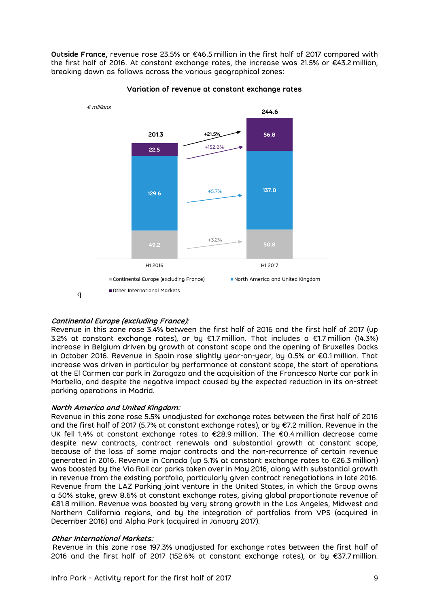**Outside France,** revenue rose 23.5% or €46.5 million in the first half of 2017 compared with the first half of 2016. At constant exchange rates, the increase was 21.5% or €43.2 million, breaking down as follows across the various geographical zones:



#### **Variation of revenue at constant exchange rates**

**Continental Europe (excluding France):**

Revenue in this zone rose 3.4% between the first half of 2016 and the first half of 2017 (up 3.2% at constant exchange rates), or by €1.7 million. That includes a €1.7 million (14.3%) increase in Belgium driven by growth at constant scope and the opening of Bruxelles Docks in October 2016. Revenue in Spain rose slightly year-on-year, by 0.5% or €0.1 million. That increase was driven in particular by performance at constant scope, the start of operations at the El Carmen car park in Zaragoza and the acquisition of the Francesco Norte car park in Marbella, and despite the negative impact caused by the expected reduction in its on-street parking operations in Madrid.

#### **North America and United Kingdom:**

Revenue in this zone rose 5.5% unadjusted for exchange rates between the first half of 2016 and the first half of 2017 (5.7% at constant exchange rates), or by €7.2 million. Revenue in the UK fell 1.4% at constant exchange rates to €28.9 million. The €0.4 million decrease came despite new contracts, contract renewals and substantial growth at constant scope, because of the loss of some major contracts and the non-recurrence of certain revenue generated in 2016. Revenue in Canada (up 5.1% at constant exchange rates to €26.3 million) was boosted by the Via Rail car parks taken over in May 2016, along with substantial growth in revenue from the existing portfolio, particularly given contract renegotiations in late 2016. Revenue from the LAZ Parking joint venture in the United States, in which the Group owns a 50% stake, grew 8.6% at constant exchange rates, giving global proportionate revenue of €81.8 million. Revenue was boosted by very strong growth in the Los Angeles, Midwest and Northern California regions, and by the integration of portfolios from VPS (acquired in December 2016) and Alpha Park (acquired in January 2017).

#### **Other International Markets:**

Revenue in this zone rose 197.3% unadjusted for exchange rates between the first half of 2016 and the first half of 2017 (152.6% at constant exchange rates), or by €37.7 million.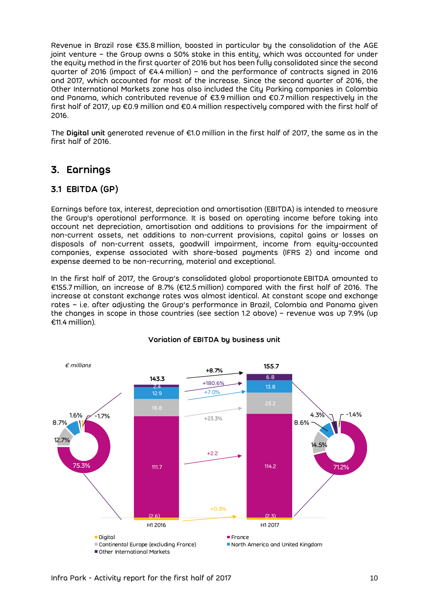Revenue in Brazil rose €35.8 million, boosted in particular by the consolidation of the AGE joint venture – the Group owns a 50% stake in this entity, which was accounted for under the equity method in the first quarter of 2016 but has been fully consolidated since the second quarter of 2016 (impact of €4.4 million) – and the performance of contracts signed in 2016 and 2017, which accounted for most of the increase. Since the second quarter of 2016, the Other International Markets zone has also included the City Parking companies in Colombia and Panama, which contributed revenue of €3.9 million and €0.7 million respectively in the first half of 2017, up €0.9 million and €0.4 million respectively compared with the first half of 2016.

The **Digital unit** generated revenue of €1.0 million in the first half of 2017, the same as in the first half of 2016.

# <span id="page-9-0"></span>**3. Earnings**

### <span id="page-9-1"></span>**3.1 EBITDA (GP)**

Earnings before tax, interest, depreciation and amortisation (EBITDA) is intended to measure the Group's operational performance. It is based on operating income before taking into account net depreciation, amortisation and additions to provisions for the impairment of non-current assets, net additions to non-current provisions, capital gains or losses on disposals of non-current assets, goodwill impairment, income from equity-accounted companies, expense associated with share-based payments (IFRS 2) and income and expense deemed to be non-recurring, material and exceptional.

In the first half of 2017, the Group's consolidated global proportionate EBITDA amounted to €155.7 million, an increase of 8.7% (€12.5 million) compared with the first half of 2016. The increase at constant exchange rates was almost identical. At constant scope and exchange rates – i.e. after adjusting the Group's performance in Brazil, Colombia and Panama given the changes in scope in those countries (see section 1.2 above) – revenue was up 7.9% (up €11.4 million).



#### **Variation of EBITDA by business unit**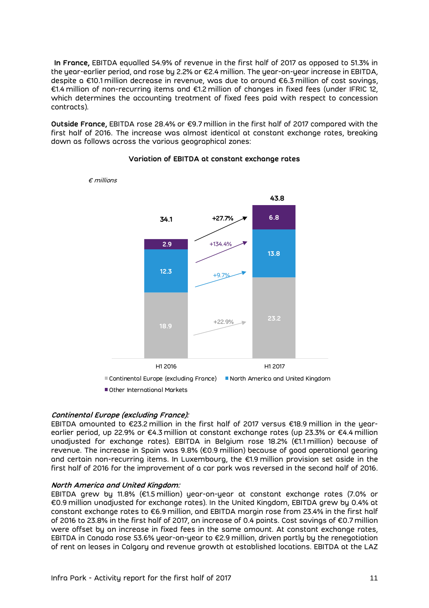**In France,** EBITDA equalled 54.9% of revenue in the first half of 2017 as opposed to 51.3% in the year-earlier period, and rose by 2.2% or €2.4 million. The year-on-year increase in EBITDA, despite a €10.1 million decrease in revenue, was due to around €6.3 million of cost savings, €1.4 million of non-recurring items and €1.2 million of changes in fixed fees (under IFRIC 12, which determines the accounting treatment of fixed fees paid with respect to concession contracts).

**Outside France,** EBITDA rose 28.4% or €9.7 million in the first half of 2017 compared with the first half of 2016. The increase was almost identical at constant exchange rates, breaking down as follows across the various geographical zones:



**Variation of EBITDA at constant exchange rates**

#### **Continental Europe (excluding France):**

EBITDA amounted to €23.2 million in the first half of 2017 versus €18.9 million in the yearearlier period, up 22.9% or €4.3 million at constant exchange rates (up 23.3% or €4.4 million unadjusted for exchange rates). EBITDA in Belgium rose 18.2% (€1.1 million) because of revenue. The increase in Spain was 9.8% (€0.9 million) because of good operational gearing and certain non-recurring items. In Luxembourg, the €1.9 million provision set aside in the first half of 2016 for the improvement of a car park was reversed in the second half of 2016.

#### **North America and United Kingdom:**

EBITDA grew by 11.8% (€1.5 million) year-on-year at constant exchange rates (7.0% or €0.9 million unadjusted for exchange rates). In the United Kingdom, EBITDA grew by 0.4% at constant exchange rates to €6.9 million, and EBITDA margin rose from 23.4% in the first half of 2016 to 23.8% in the first half of 2017, an increase of 0.4 points. Cost savings of €0.7 million were offset by an increase in fixed fees in the same amount. At constant exchange rates, EBITDA in Canada rose 53.6% year-on-year to €2.9 million, driven partly by the renegotiation of rent on leases in Calgary and revenue growth at established locations. EBITDA at the LAZ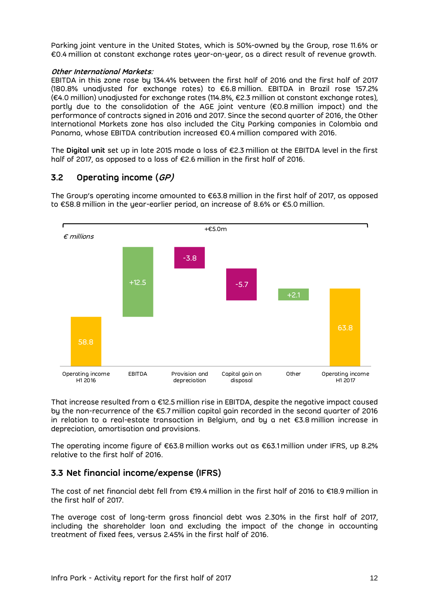Parking joint venture in the United States, which is 50%-owned by the Group, rose 11.6% or €0.4 million at constant exchange rates year-on-year, as a direct result of revenue growth.

#### **Other International Markets:**

EBITDA in this zone rose by 134.4% between the first half of 2016 and the first half of 2017 (180.8% unadjusted for exchange rates) to €6.8 million. EBITDA in Brazil rose 157.2% (€4.0 million) unadjusted for exchange rates (114.8%, €2.3 million at constant exchange rates), partly due to the consolidation of the AGE joint venture (€0.8 million impact) and the performance of contracts signed in 2016 and 2017. Since the second quarter of 2016, the Other International Markets zone has also included the City Parking companies in Colombia and Panama, whose EBITDA contribution increased €0.4 million compared with 2016.

The **Digital unit** set up in late 2015 made a loss of €2.3 million at the EBITDA level in the first half of 2017, as opposed to a loss of €2.6 million in the first half of 2016.

### **3.2 Operating income (GP)**

The Group's operating income amounted to €63.8 million in the first half of 2017, as opposed to €58.8 million in the year-earlier period, an increase of 8.6% or €5.0 million.



That increase resulted from a €12.5 million rise in EBITDA, despite the negative impact caused by the non-recurrence of the €5.7 million capital gain recorded in the second quarter of 2016 in relation to a real-estate transaction in Belgium, and by a net €3.8 million increase in depreciation, amortisation and provisions.

The operating income figure of €63.8 million works out as €63.1 million under IFRS, up 8.2% relative to the first half of 2016.

### <span id="page-11-0"></span>**3.3 Net financial income/expense (IFRS)**

The cost of net financial debt fell from €19.4 million in the first half of 2016 to €18.9 million in the first half of 2017.

The average cost of long-term gross financial debt was 2.30% in the first half of 2017, including the shareholder loan and excluding the impact of the change in accounting treatment of fixed fees, versus 2.45% in the first half of 2016.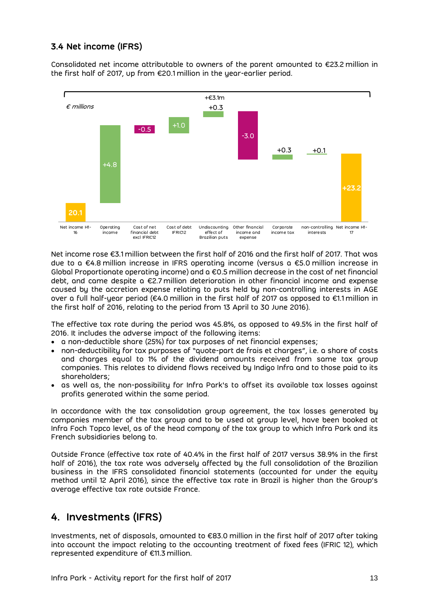## <span id="page-12-0"></span>**3.4 Net income (IFRS)**

Consolidated net income attributable to owners of the parent amounted to  $\epsilon$ 23.2 million in the first half of 2017, up from €20.1 million in the year-earlier period.



Net income rose €3.1 million between the first half of 2016 and the first half of 2017. That was due to a €4.8 million increase in IFRS operating income (versus a €5.0 million increase in Global Proportionate operating income) and a €0.5 million decrease in the cost of net financial debt, and came despite a €2.7 million deterioration in other financial income and expense caused by the accretion expense relating to puts held by non-controlling interests in AGE over a full half-year period (€4.0 million in the first half of 2017 as opposed to €1.1 million in the first half of 2016, relating to the period from 13 April to 30 June 2016).

The effective tax rate during the period was 45.8%, as opposed to 49.5% in the first half of 2016. It includes the adverse impact of the following items:

- a non-deductible share (25%) for tax purposes of net financial expenses;
- non-deductibility for tax purposes of "quote-part de frais et charges", i.e. a share of costs and charges equal to 1% of the dividend amounts received from same tax group companies. This relates to dividend flows received by Indigo Infra and to those paid to its shareholders;
- as well as, the non-possibility for Infra Park's to offset its available tax losses against profits generated within the same period.

In accordance with the tax consolidation group agreement, the tax losses generated by companies member of the tax group and to be used at group level, have been booked at Infra Foch Topco level, as of the head company of the tax group to which Infra Park and its French subsidiaries belong to.

Outside France (effective tax rate of 40.4% in the first half of 2017 versus 38.9% in the first half of 2016), the tax rate was adversely affected by the full consolidation of the Brazilian business in the IFRS consolidated financial statements (accounted for under the equity method until 12 April 2016), since the effective tax rate in Brazil is higher than the Group's average effective tax rate outside France.

# <span id="page-12-1"></span>**4. Investments (IFRS)**

Investments, net of disposals, amounted to €83.0 million in the first half of 2017 after taking into account the impact relating to the accounting treatment of fixed fees (IFRIC 12), which represented expenditure of €11.3 million.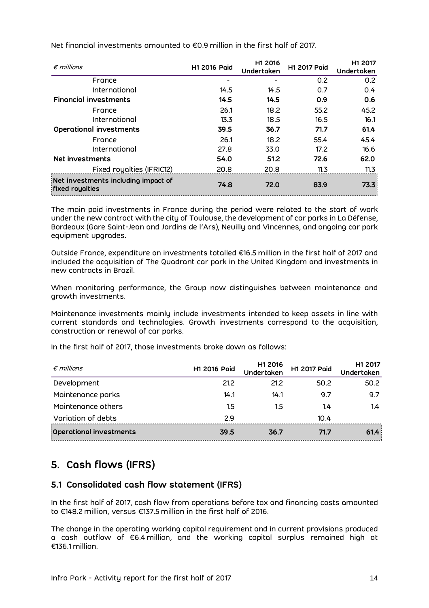| $\epsilon$ millions                                           | <b>H1 2016 Paid</b> | H1 2016<br>Undertaken | <b>H1 2017 Poid</b> | H1 2017<br>Undertaken |
|---------------------------------------------------------------|---------------------|-----------------------|---------------------|-----------------------|
| France                                                        |                     |                       | 0.2                 | 0.2                   |
| International                                                 | 14.5                | 14.5                  | 0.7                 | 0.4                   |
| <b>Financial investments</b>                                  | 14.5                | 14.5                  | 0.9                 | 0.6                   |
| France                                                        | 26.1                | 18.2                  | 55.2                | 45.2                  |
| International                                                 | 13.3                | 18.5                  | 16.5                | 16.1                  |
| Operational investments                                       | 39.5                | 36.7                  | 71.7                | 61.4                  |
| France                                                        | 26.1                | 18.2                  | 55.4                | 45.4                  |
| International                                                 | 27.8                | 33.0                  | 17.2                | 16.6                  |
| Net investments                                               | 54.0                | 51.2                  | 72.6                | 62.0                  |
| Fixed royalties (IFRIC12)                                     | 20.8                | 20.8                  | 11.3                | 11.3                  |
| Net investments including impoct of<br><b>fixed royalties</b> | 74.8                | 72.0                  | 83.9                | 73.3                  |

Net financial investments amounted to €0.9 million in the first half of 2017.

The main paid investments in France during the period were related to the start of work under the new contract with the city of Toulouse, the development of car parks in La Défense, Bordeaux (Gare Saint-Jean and Jardins de l'Ars), Neuilly and Vincennes, and ongoing car park equipment upgrades.

Outside France, expenditure on investments totalled €16.5 million in the first half of 2017 and included the acquisition of The Quadrant car park in the United Kingdom and investments in new contracts in Brazil.

When monitoring performance, the Group now distinguishes between maintenance and growth investments.

Maintenance investments mainly include investments intended to keep assets in line with current standards and technologies. Growth investments correspond to the acquisition, construction or renewal of car parks.

In the first half of 2017, those investments broke down as follows:

| $\epsilon$ millions     | H1 2016 Paid | H1 2016<br>Undertaken | H1 2017 Paid | H1 2017<br>Undertaken |
|-------------------------|--------------|-----------------------|--------------|-----------------------|
| Development             | 21.2         | 21.2                  | 50.2         | 50.2                  |
| Maintenance parks       | 14.1         | 14.1                  | 9.7          | 9.7                   |
| Maintenance others      | 1.5          | 1.5                   | 1.4          | 1.4                   |
| Variation of debts      | 29           |                       | 10.4         |                       |
| Operational investments | 39.5         | 36.7                  | 71.7         | 61.4                  |

# <span id="page-13-0"></span>**5. Cash flows (IFRS)**

### <span id="page-13-1"></span>**5.1 Consolidated cash flow statement (IFRS)**

In the first half of 2017, cash flow from operations before tax and financing costs amounted to €148.2 million, versus €137.5 million in the first half of 2016.

The change in the operating working capital requirement and in current provisions produced a cash outflow of €6.4 million, and the working capital surplus remained high at €136.1 million.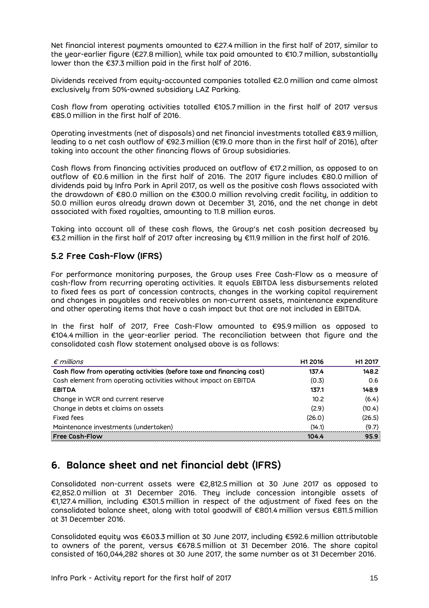Net financial interest payments amounted to €27.4 million in the first half of 2017, similar to the year-earlier figure (€27.8 million), while tax paid amounted to €10.7 million, substantially lower than the €37.3 million paid in the first half of 2016.

Dividends received from equity-accounted companies totalled €2.0 million and came almost exclusively from 50%-owned subsidiary LAZ Parking.

Cash flow from operating activities totalled €105.7 million in the first half of 2017 versus €85.0 million in the first half of 2016.

Operating investments (net of disposals) and net financial investments totalled €83.9 million, leading to a net cash outflow of €92.3 million (€19.0 more than in the first half of 2016), after taking into account the other financing flows of Group subsidiaries.

Cash flows from financing activities produced an outflow of €17.2 million, as opposed to an outflow of €0.6 million in the first half of 2016. The 2017 figure includes €80.0 million of dividends paid by Infra Park in April 2017, as well as the positive cash flows associated with the drawdown of €80.0 million on the €300.0 million revolving credit facility, in addition to 50.0 million euros already drawn down at December 31, 2016, and the net change in debt associated with fixed royalties, amounting to 11.8 million euros.

Taking into account all of these cash flows, the Group's net cash position decreased by €3.2 million in the first half of 2017 after increasing by €11.9 million in the first half of 2016.

### <span id="page-14-0"></span>**5.2 Free Cash-Flow (IFRS)**

For performance monitoring purposes, the Group uses Free Cash-Flow as a measure of cash-flow from recurring operating activities. It equals EBITDA less disbursements related to fixed fees as part of concession contracts, changes in the working capital requirement and changes in payables and receivables on non-current assets, maintenance expenditure and other operating items that have a cash impact but that are not included in EBITDA.

In the first half of 2017, Free Cash-Flow amounted to €95.9 million as opposed to €104.4 million in the year-earlier period. The reconciliation between that figure and the consolidated cash flow statement analysed above is as follows:

| $\epsilon$ millions                                                  | H1 2016 | H1 2017 |
|----------------------------------------------------------------------|---------|---------|
| Cash flow from operating activities (before taxe and financing cost) | 137.4   | 148.2   |
| Cash element from operating activities without impact on EBITDA      | (0.3)   | 0.6     |
| <b>EBITDA</b>                                                        | 137.1   | 148.9   |
| Change in WCR and current reserve                                    | 10.2    | (6.4)   |
| Change in debts et claims on assets                                  | (2.9)   | (10.4)  |
| <b>Fixed fees</b>                                                    | (26.0)  | (26.5)  |
| Maintenance investments (undertaken)                                 | (14.1)  | (9.7)   |
| <b>Free Cash-Flow</b>                                                | 104.4   | 95.9    |

# <span id="page-14-1"></span>**6. Balance sheet and net financial debt (IFRS)**

Consolidated non-current assets were €2,812.5 million at 30 June 2017 as opposed to €2,852.0 million at 31 December 2016. They include concession intangible assets of €1,127.4 million, including €301.5 million in respect of the adjustment of fixed fees on the consolidated balance sheet, along with total goodwill of €801.4 million versus €811.5 million at 31 December 2016.

Consolidated equity was €603.3 million at 30 June 2017, including €592.6 million attributable to owners of the parent, versus €678.5 million at 31 December 2016. The share capital consisted of 160,044,282 shares at 30 June 2017, the same number as at 31 December 2016.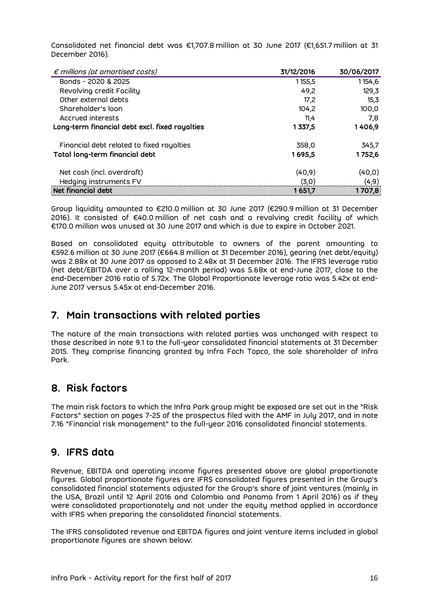Consolidated net financial debt was €1,707.8 million at 30 June 2017 (€1,651.7 million at 31 December 2016).

| $\epsilon$ millions (at amortised costs)       | 31/12/2016 | 30/06/2017 |
|------------------------------------------------|------------|------------|
| Bonds - 2020 & 2025                            | 1155,5     | 1154,6     |
| Revolving credit Facility                      | 49.2       | 129,3      |
| Other external debts                           | 17.2       | 15,3       |
| Shareholder's loan                             | 104.2      | 100,0      |
| Accrued interests                              | 11.4       | 7.8        |
| Long-term financial debt excl. fixed royalties | 1 337,5    | 1406,9     |
| Financial debt related to fixed royalties      | 358,0      | 345,7      |
| Total long-term financial debt                 | 1695,5     | 1752,6     |
| Net cash (incl. overdraft)                     | (40, 9)    | (40, 0)    |
| Hedging instruments FV                         | (3,0)      | (4, 9)     |
| Net financial debt                             | 1651,7     | 1707,8     |

Group liquidity amounted to €210.0 million at 30 June 2017 (€290.9 million at 31 December 2016). It consisted of €40.0 million of net cash and a revolving credit facility of which €170.0 million was unused at 30 June 2017 and which is due to expire in October 2021.

Based on consolidated equity attributable to owners of the parent amounting to €592.6 million at 30 June 2017 (€664.8 million at 31 December 2016), gearing (net debt/equity) was 2.88x at 30 June 2017 as opposed to 2.48x at 31 December 2016. The IFRS leverage ratio (net debt/EBITDA over a rolling 12-month period) was 5.68x at end-June 2017, close to the end-December 2016 ratio of 5.72x. The Global Proportionate leverage ratio was 5.42x at end-June 2017 versus 5.45x at end-December 2016.

# <span id="page-15-0"></span>**7. Main transactions with related parties**

The nature of the main transactions with related parties was unchanged with respect to those described in note 9.1 to the full-year consolidated financial statements at 31 December 2015. They comprise financing granted by Infra Foch Topco, the sole shareholder of Infra Park.

# <span id="page-15-1"></span>**8. Risk factors**

The main risk factors to which the Infra Park group might be exposed are set out in the "Risk Factors" section on pages 7-25 of the prospectus filed with the AMF in July 2017, and in note 7.16 "Financial risk management" to the full-year 2016 consolidated financial statements.

# <span id="page-15-2"></span>**9. IFRS data**

Revenue, EBITDA and operating income figures presented above are global proportionate figures. Global proportionate figures are IFRS consolidated figures presented in the Group's consolidated financial statements adjusted for the Group's share of joint ventures (mainly in the USA, Brazil until 12 April 2016 and Colombia and Panama from 1 April 2016) as if they were consolidated proportionately and not under the equity method applied in accordance with IFRS when preparing the consolidated financial statements.

The IFRS consolidated revenue and EBITDA figures and joint venture items included in global proportionate figures are shown below: